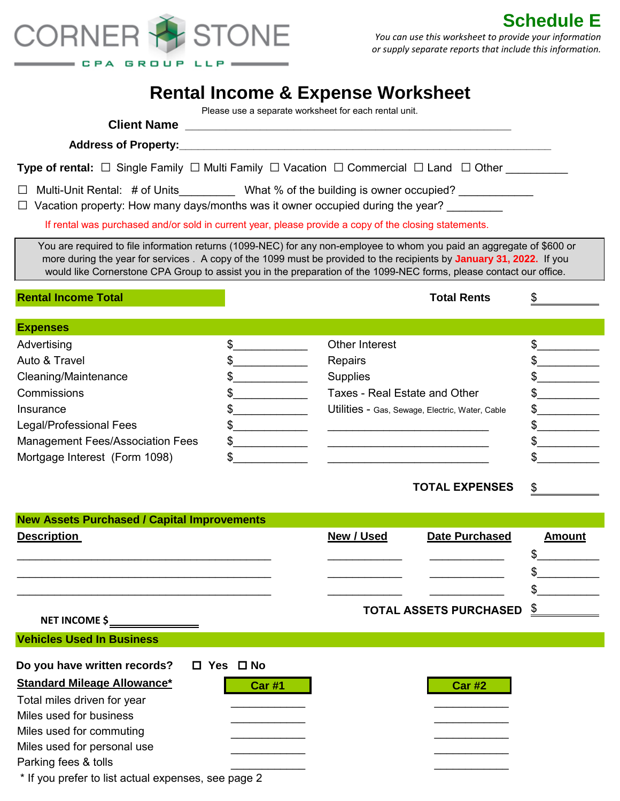

**Schedule E** *You can use this worksheet to provide your information or supply separate reports that include this information.*

## **Rental Income & Expense Worksheet**

Please use a separate worksheet for each rental unit.

| <b>Type of rental:</b> $\Box$ Single Family $\Box$ Multi Family $\Box$ Vacation $\Box$ Commercial $\Box$ Land $\Box$ Other                                                                                                                                                                                                                                            |                            |                                                 |                               |                          |  |  |
|-----------------------------------------------------------------------------------------------------------------------------------------------------------------------------------------------------------------------------------------------------------------------------------------------------------------------------------------------------------------------|----------------------------|-------------------------------------------------|-------------------------------|--------------------------|--|--|
| Multi-Unit Rental: # of Units____________ What % of the building is owner occupied? _____________<br>$\Box$<br>Vacation property: How many days/months was it owner occupied during the year?                                                                                                                                                                         |                            |                                                 |                               |                          |  |  |
| If rental was purchased and/or sold in current year, please provide a copy of the closing statements.                                                                                                                                                                                                                                                                 |                            |                                                 |                               |                          |  |  |
| You are required to file information returns (1099-NEC) for any non-employee to whom you paid an aggregate of \$600 or<br>more during the year for services. A copy of the 1099 must be provided to the recipients by January 31, 2022. If you<br>would like Cornerstone CPA Group to assist you in the preparation of the 1099-NEC forms, please contact our office. |                            |                                                 |                               |                          |  |  |
| <b>Rental Income Total</b>                                                                                                                                                                                                                                                                                                                                            |                            |                                                 | <b>Total Rents</b>            | \$                       |  |  |
| <b>Expenses</b>                                                                                                                                                                                                                                                                                                                                                       |                            |                                                 |                               |                          |  |  |
| Advertising                                                                                                                                                                                                                                                                                                                                                           | $\frac{1}{2}$              | Other Interest                                  |                               | $\frac{1}{2}$            |  |  |
| Auto & Travel                                                                                                                                                                                                                                                                                                                                                         | $\frac{1}{2}$              | Repairs                                         |                               | $\frac{1}{2}$            |  |  |
| Cleaning/Maintenance                                                                                                                                                                                                                                                                                                                                                  | $\sim$                     | <b>Supplies</b>                                 |                               | $\frac{1}{2}$            |  |  |
| Commissions                                                                                                                                                                                                                                                                                                                                                           | $\frac{1}{2}$              | Taxes - Real Estate and Other                   |                               | $\frac{1}{2}$            |  |  |
| Insurance                                                                                                                                                                                                                                                                                                                                                             | $\sim$                     | Utilities - Gas, Sewage, Electric, Water, Cable |                               | $\frac{1}{2}$            |  |  |
| Legal/Professional Fees                                                                                                                                                                                                                                                                                                                                               | $\frac{1}{2}$              |                                                 |                               | $\frac{1}{2}$            |  |  |
| <b>Management Fees/Association Fees</b>                                                                                                                                                                                                                                                                                                                               | $\frac{1}{2}$              |                                                 |                               | $\frac{1}{2}$            |  |  |
| Mortgage Interest (Form 1098)                                                                                                                                                                                                                                                                                                                                         |                            |                                                 |                               | \$                       |  |  |
|                                                                                                                                                                                                                                                                                                                                                                       |                            |                                                 | <b>TOTAL EXPENSES</b>         | \$                       |  |  |
| <b>New Assets Purchased / Capital Improvements</b>                                                                                                                                                                                                                                                                                                                    |                            |                                                 |                               |                          |  |  |
| <b>Description</b>                                                                                                                                                                                                                                                                                                                                                    |                            | New / Used                                      | <b>Date Purchased</b>         | <b>Amount</b>            |  |  |
|                                                                                                                                                                                                                                                                                                                                                                       |                            |                                                 |                               | \$                       |  |  |
|                                                                                                                                                                                                                                                                                                                                                                       |                            |                                                 |                               | ¢                        |  |  |
|                                                                                                                                                                                                                                                                                                                                                                       |                            |                                                 |                               |                          |  |  |
|                                                                                                                                                                                                                                                                                                                                                                       |                            |                                                 |                               |                          |  |  |
| <b>NET INCOME \$</b>                                                                                                                                                                                                                                                                                                                                                  |                            |                                                 | <b>TOTAL ASSETS PURCHASED</b> | $\overline{\mathcal{C}}$ |  |  |
| <b>Vehicles Used In Business</b>                                                                                                                                                                                                                                                                                                                                      |                            |                                                 |                               |                          |  |  |
| Do you have written records?                                                                                                                                                                                                                                                                                                                                          | $\square$ Yes $\square$ No |                                                 |                               |                          |  |  |
| <b>Standard Mileage Allowance*</b>                                                                                                                                                                                                                                                                                                                                    | <b>Car #1</b>              |                                                 | <b>Car #2</b>                 |                          |  |  |
| Total miles driven for year                                                                                                                                                                                                                                                                                                                                           |                            |                                                 |                               |                          |  |  |
| Miles used for business                                                                                                                                                                                                                                                                                                                                               |                            |                                                 |                               |                          |  |  |
| Miles used for commuting                                                                                                                                                                                                                                                                                                                                              |                            |                                                 |                               |                          |  |  |
| Miles used for personal use                                                                                                                                                                                                                                                                                                                                           |                            |                                                 |                               |                          |  |  |
| Parking fees & tolls                                                                                                                                                                                                                                                                                                                                                  |                            |                                                 |                               |                          |  |  |
| * If you prefer to list actual expenses, see page 2                                                                                                                                                                                                                                                                                                                   |                            |                                                 |                               |                          |  |  |